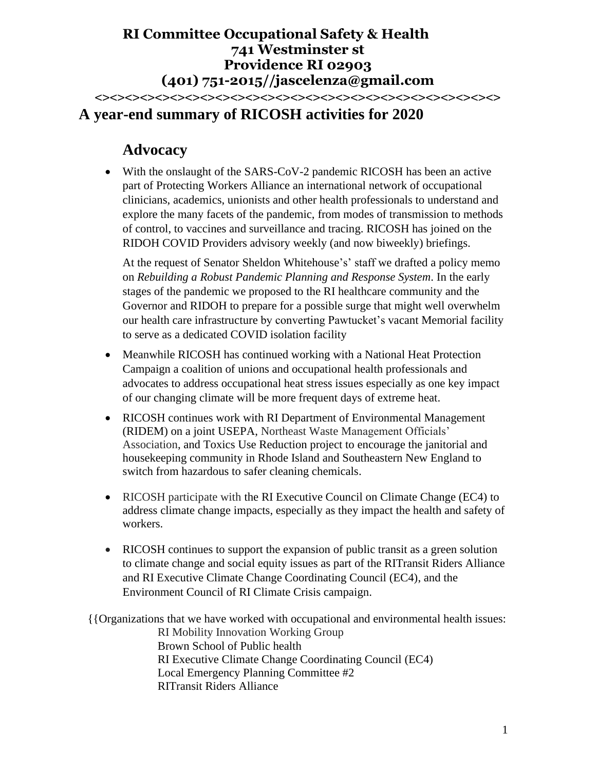## **RI Committee Occupational Safety & Health 741 Westminster st Providence RI 02903 (401) 751-2015//jascelenza@gmail.com <><><><><><><><><><><><><><><><><><><><><><><><><><><>**

# **A year-end summary of RICOSH activities for 2020**

# **Advocacy**

• With the onslaught of the SARS-CoV-2 pandemic RICOSH has been an active part of Protecting Workers Alliance an international network of occupational clinicians, academics, unionists and other health professionals to understand and explore the many facets of the pandemic, from modes of transmission to methods of control, to vaccines and surveillance and tracing. RICOSH has joined on the RIDOH COVID Providers advisory weekly (and now biweekly) briefings.

At the request of Senator Sheldon Whitehouse's' staff we drafted a policy memo on *Rebuilding a Robust Pandemic Planning and Response System*. In the early stages of the pandemic we proposed to the RI healthcare community and the Governor and RIDOH to prepare for a possible surge that might well overwhelm our health care infrastructure by converting Pawtucket's vacant Memorial facility to serve as a dedicated COVID isolation facility

- Meanwhile RICOSH has continued working with a National Heat Protection Campaign a coalition of unions and occupational health professionals and advocates to address occupational heat stress issues especially as one key impact of our changing climate will be more frequent days of extreme heat.
- RICOSH continues work with RI Department of Environmental Management (RIDEM) on a joint USEPA, Northeast Waste Management Officials' Association, and Toxics Use Reduction project to encourage the janitorial and housekeeping community in Rhode Island and Southeastern New England to switch from hazardous to safer cleaning chemicals.
- RICOSH participate with the RI Executive Council on Climate Change (EC4) to address climate change impacts, especially as they impact the health and safety of workers.
- RICOSH continues to support the expansion of public transit as a green solution to climate change and social equity issues as part of the RITransit Riders Alliance and RI Executive Climate Change Coordinating Council (EC4), and the Environment Council of RI Climate Crisis campaign.

{{Organizations that we have worked with occupational and environmental health issues: RI Mobility Innovation Working Group Brown School of Public health RI Executive Climate Change Coordinating Council (EC4) Local Emergency Planning Committee #2 RITransit Riders Alliance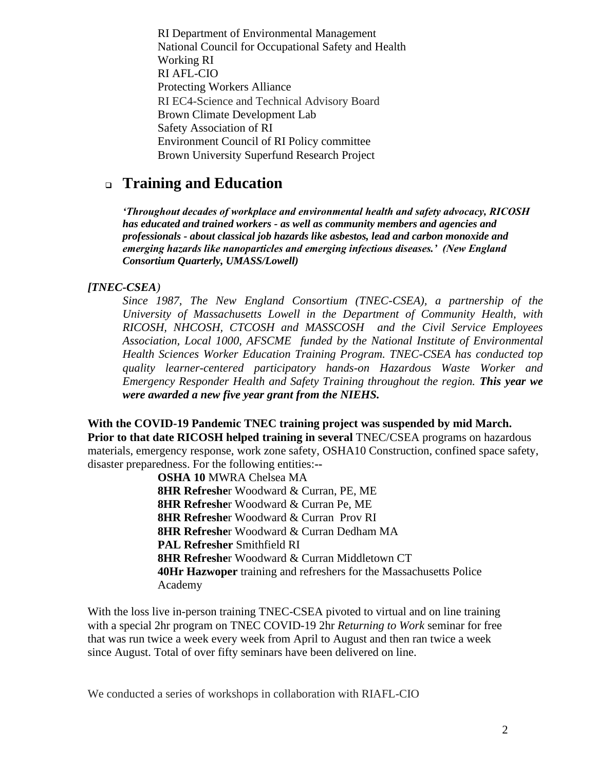RI Department of Environmental Management National Council for Occupational Safety and Health Working RI RI AFL-CIO Protecting Workers Alliance RI EC4-Science and Technical Advisory Board Brown Climate Development Lab Safety Association of RI Environment Council of RI Policy committee Brown University Superfund Research Project

## ❑ **Training and Education**

*'Throughout decades of workplace and environmental health and safety advocacy, RICOSH has educated and trained workers - as well as community members and agencies and professionals - about classical job hazards like asbestos, lead and carbon monoxide and emerging hazards like nanoparticles and emerging infectious diseases.' (New England Consortium Quarterly, UMASS/Lowell)*

#### *[TNEC-CSEA)*

*Since 1987, The New England Consortium (TNEC-CSEA), a partnership of the University of Massachusetts Lowell in the Department of Community Health, with RICOSH, NHCOSH, CTCOSH and MASSCOSH and the Civil Service Employees Association, Local 1000, AFSCME funded by the National Institute of Environmental Health Sciences Worker Education Training Program. TNEC-CSEA has conducted top quality learner-centered participatory hands-on Hazardous Waste Worker and Emergency Responder Health and Safety Training throughout the region. This year we were awarded a new five year grant from the NIEHS.*

**With the COVID-19 Pandemic TNEC training project was suspended by mid March. Prior to that date RICOSH helped training in several** TNEC/CSEA programs on hazardous materials, emergency response, work zone safety, OSHA10 Construction, confined space safety, disaster preparedness. For the following entities:**--**

> **OSHA 10** MWRA Chelsea MA **8HR Refreshe**r Woodward & Curran, PE, ME **8HR Refreshe**r Woodward & Curran Pe, ME  **8HR Refreshe**r Woodward & Curran Prov RI **8HR Refreshe**r Woodward & Curran Dedham MA **PAL Refresher** Smithfield RI **8HR Refreshe**r Woodward & Curran Middletown CT **40Hr Hazwoper** training and refreshers for the Massachusetts Police Academy

With the loss live in-person training TNEC-CSEA pivoted to virtual and on line training with a special 2hr program on TNEC COVID-19 2hr *Returning to Work* seminar for free that was run twice a week every week from April to August and then ran twice a week since August. Total of over fifty seminars have been delivered on line.

We conducted a series of workshops in collaboration with RIAFL-CIO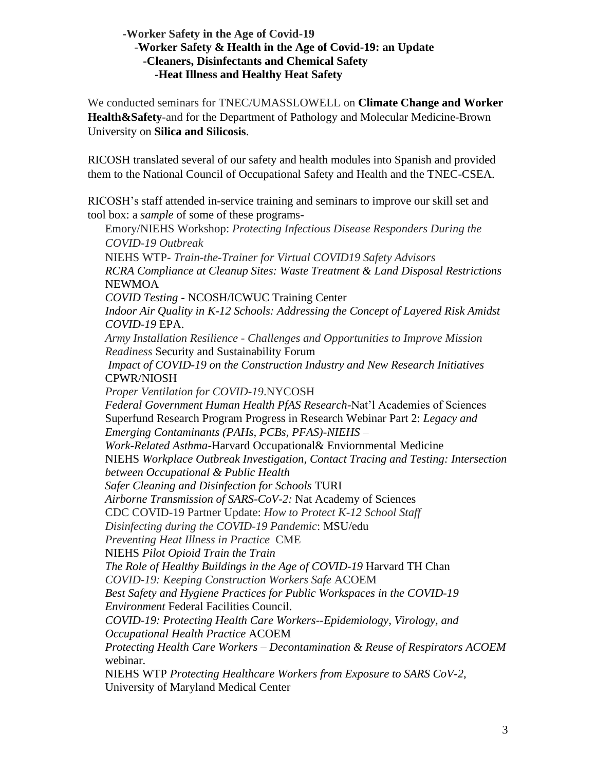### **-Worker Safety in the Age of Covid-19** -**Worker Safety & Health in the Age of Covid-19: an Update -Cleaners, Disinfectants and Chemical Safety**  **-Heat Illness and Healthy Heat Safety**

We conducted seminars for TNEC/UMASSLOWELL on **Climate Change and Worker Health&Safety**-and for the Department of Pathology and Molecular Medicine-Brown University on **Silica and Silicosis**.

RICOSH translated several of our safety and health modules into Spanish and provided them to the National Council of Occupational Safety and Health and the TNEC-CSEA.

RICOSH's staff attended in-service training and seminars to improve our skill set and tool box: a *sample* of some of these programs-

Emory/NIEHS Workshop: *Protecting Infectious Disease Responders During the COVID-19 Outbreak*  NIEHS WTP- *Train-the-Trainer for Virtual COVID19 Safety Advisors RCRA Compliance at Cleanup Sites: Waste Treatment & Land Disposal Restrictions*  NEWMOA *COVID Testing -* NCOSH/ICWUC Training Center *Indoor Air Quality in K-12 Schools: Addressing the Concept of Layered Risk Amidst COVID-19* EPA. *Army Installation Resilience - Challenges and Opportunities to Improve Mission Readiness* Security and Sustainability Forum *Impact of COVID-19 on the Construction Industry and New Research Initiatives* CPWR/NIOSH *Proper Ventilation for COVID-19*.NYCOSH *Federal Government Human Health PfAS Research*-Nat'l Academies of Sciences Superfund Research Program Progress in Research Webinar Part 2: *Legacy and Emerging Contaminants (PAHs, PCBs, PFAS)-NIEHS – Work-Related Asthma*-Harvard Occupational& Enviornmental Medicine NIEHS *Workplace Outbreak Investigation, Contact Tracing and Testing: Intersection between Occupational & Public Health Safer Cleaning and Disinfection for Schools* TURI *Airborne Transmission of SARS-CoV-2:* Nat Academy of Sciences CDC COVID-19 Partner Update: *How to Protect K-12 School Staff Disinfecting during the COVID-19 Pandemic*: MSU/edu *Preventing Heat Illness in Practice* CME NIEHS *Pilot Opioid Train the Train The Role of Healthy Buildings in the Age of COVID-19* Harvard TH Chan *COVID-19: Keeping Construction Workers Safe* ACOEM *Best Safety and Hygiene Practices for Public Workspaces in the COVID-19 Environment* Federal Facilities Council. *COVID-19: Protecting Health Care Workers--Epidemiology, Virology, and Occupational Health Practice* ACOEM *Protecting Health Care Workers – Decontamination & Reuse of Respirators ACOEM* webinar. NIEHS WTP *Protecting Healthcare Workers from Exposure to SARS CoV-2*, University of Maryland Medical Center